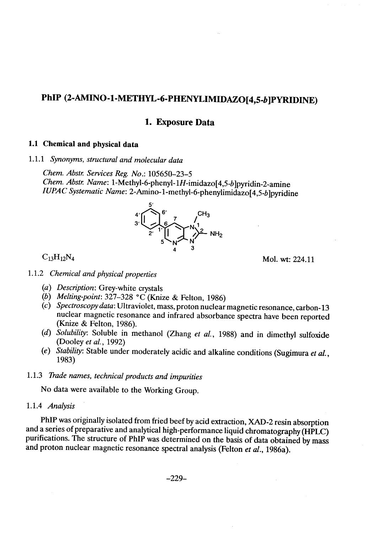# PhIP (2-AMINO-1-METHYL-6-PHENYLIMIDAZO[4,5-b]PYRIDINE)

# 1. Exposure Data

# 1.1 Chemical and physical data

1.1.1 Synonyms, structural and molecular data

Chem. Abstr. Services Reg. No.: 105650-23-5 Chem. Abstr. Name: 1-Methyl-6-phenyl-1H-imidazo[4,5-b]pyridin-2-amine IUPAC Systematic Name: 2-Amino-1-methyl-6-phenylimidazo( 4,5-b )pyridine



 $C_{13}H_{12}N_4$  Mol. wt: 224.11

- 1.1.2 Chemical and physical properties
	- (a) Description: Grey-white crystals
	- (b) Melting-point: 327-328 °C (Knize & Felton, 1986)
	- $(c)$  Spectroscopy data: Ultraviolet, mass, proton nuclear magnetic resonance, carbon-13 nuclear magnetic resonance and infrared absorbance spectra have been reported (Knize & Felton, 1986).
	- (d) Solubility: Soluble in methanol (Zhang et al., 1988) and in dimethyl sulfoxide (Dooley et al., 1992)
	- (e) Stability: Stable under moderately acidic and alkaline conditions (Sugimura et al., 1983)

# 1.1.3 Trade names, technical products and impurities

No data were available to the Working Group.

### 1.1.4 Analysis

PhIP was originally isolated from fried beef by acid extraction, XAD-2 resin absorption and a series of preparative and analytical high-performance liquid chromatography (HPLC) purifications. The structure of PhIP was determined on the basis of data obtained by mass and proton nuclear magnetic resonance spectral analysis (Felton et al., 1986a).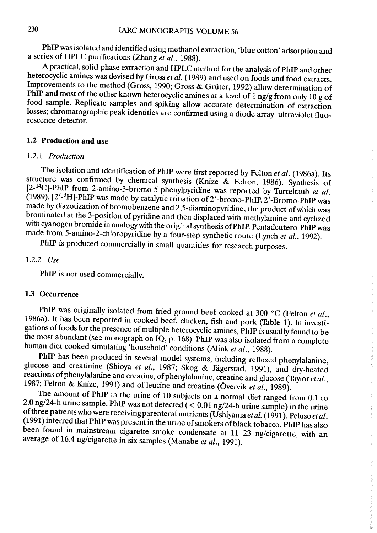PhIP was isolated and identified using methanol extraction, 'blue cotton' adsorption and a series of HPLC purifications (Zhang  $e\tilde{t}$  al., 1988).

A practical, solid-phase extraction and HPLC method for the analysis of PhIP and other heterocyclic amines was devised by Gross et al. (1989) and used on foods and food extracts. Improvements to the method (Gross, 1990; Gross & Grüter, 1992) allow determination of PhIP and most of the other known heterocyclic amines at a level of 1 ng/g from only 10 g of food sample. Replicate samples and spiking allow accurate determination of extraction losses; chromatographie peak identities are confirmed using a diode array-ultraviolet fluorescence detector.

# 1.2 Production and use

#### 1.2.1 Production

The isolation and identification of PhIP were first reported by Felton et al. (1986a). Its structure was confirmed by chemical synthesis (Knize & Felton, 1986). Synthesis of  $[2-14C]$ -PhIP from 2-amino-3-bromo-5-phenylpyridine was reported by Turteltaub et al.  $(1989)$ .  $[2'$ -<sup>3</sup>H]-PhIP was made by catalytic tritiation of 2'-bromo-PhIP. 2'-Bromo-PhIP was made by diazotization of bromobenzene and 2,5-diaminopyridine, the product of which was brominated at the 3-position of pyridine and then displaced with methylamine and cyclized with cyanogen bromide in analogy with the original synthesis of PhIP. Pentadeutero-PhIP was made from 5-amino-2-chloropyridine by a four-step synthetic route (Lynch et al., 1992).

PhIP is produced commercially in small quantities for research purposes.

#### 1.2.2 Use

PhlP is not used commercially.

# 1.3 Occurrence

PhIP was originally isolated from fried ground beef cooked at 300 °C (Felton et al., 1986a). It has been reported in cooked beef, chicken, fish and pork (Table 1). In investigations of foods for the presence of multiple heterocyclic amines, PhIP is usually found to be the most abundant (see monograph on lQ, p. 168). PhIP was also isolated from a complete human diet cooked simulating 'household' conditions (Alink et al., 1988).

PhIP has been produced in several model systems, including refluxed phenylalanine, glucose and creatinine (Shioya et al., 1987; Skog & Jägerstad, 1991), and dry-heated reactions of phenylalanine and creatine, of phenylalanine, creatine and glucose (Taylor et al., 1987; Felton & Knize, 1991) and of leucine and creatine (Övervik et  $\tilde{al}$ ., 1989).

The amount of PhIP in the urine of 10 subjects on a normal diet ranged from 0.1 to 2.0 ng/24-h urine sample. PhIP was not detected  $(< 0.01$  ng/24-h urine sample) in the urine of three patients who were receiving parenteral nutrients (Ushiyama et al. (1991). Peluso et al. (1991) inferred that PhIP was present in the urine of smokers of black tobacco. PhIP has also been found in mainstream cigarette smoke condensate at 11-23 ng/cigarette, with an average of 16.4 ng/cigarette in six samples (Manabe et al., 1991).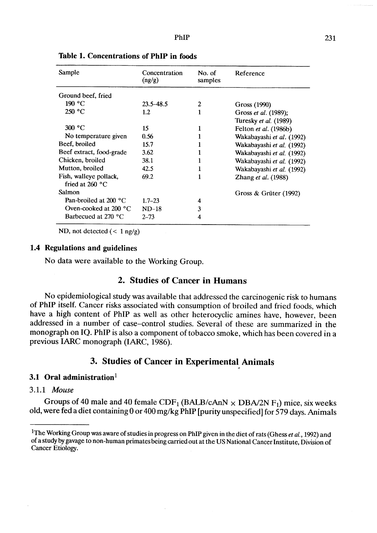| Sample                          | Concentration<br>(ng/g) | No. of<br>samples | Reference                 |  |
|---------------------------------|-------------------------|-------------------|---------------------------|--|
| Ground beef, fried              |                         |                   |                           |  |
| 190 °C                          | $23.5 - 48.5$           | 2                 | Gross (1990)              |  |
| 250 °C                          | 1.2                     |                   | Gross et al. (1989);      |  |
|                                 |                         |                   | Turesky et al. (1989)     |  |
| 300 °C                          | 15                      |                   | Felton et al. (1986b)     |  |
| No temperature given            | 0.56                    |                   | Wakabayashi et al. (1992) |  |
| Beef, broiled                   | 15.7                    |                   | Wakabayashi et al. (1992) |  |
| Beef extract, food-grade        | 3.62                    |                   | Wakabayashi et al. (1992) |  |
| Chicken, broiled                | 38.1                    |                   | Wakabayashi et al. (1992) |  |
| Mutton, broiled                 | 42.5                    |                   | Wakabayashi et al. (1992) |  |
| Fish, walleye pollack,          | 69.2                    |                   | Zhang et al. (1988)       |  |
| fried at $260 °C$               |                         |                   |                           |  |
| <b>Salmon</b>                   |                         |                   | Gross & Grüter $(1992)$   |  |
| Pan-broiled at 200 $^{\circ}$ C | $1.7 - 23$              |                   |                           |  |
| Oven-cooked at 200 $^{\circ}$ C | $ND-18$                 | 3                 |                           |  |
| Barbecued at 270 $^{\circ}$ C   | $2 - 73$                |                   |                           |  |

Table 1. Concentrations of PhIP in foods

ND, not detected  $(< 1$  ng/g)

# 1.4 Regulations and guidelines

No data were available to the Working Group.

# 2. Studies of Cancer in Humans

No epidemiological study was available that addressed the carcinogenic risk to humans of PhlP itself. Cancer risks associated with consumption of broiled and fried foods, which have a high content of PhlP as weIl as other heterocyclic amines have, however, been addressed in a number of case-control studies. Several of these are summarized in the monograph on IQ. PhIP is also a component of tobacco smoke, which has been covered in a previous IARC monograph (IARC, 1986).

# 3. Studies of Cancer in Experimental Animals

### 3.1 Oral administration $1$

#### 3.1.1 Mouse

Groups of 40 male and 40 female  $CDF_1(BALB/cAnN \times DBA/2NF_1)$  mice, six weeks old, were fed a diet containing 0 or 400 mg/kg PhIP [purity unspecified] for 579 days. Animals

<sup>&</sup>lt;sup>1</sup>The Working Group was aware of studies in progress on PhIP given in the diet of rats (Ghess et al., 1992) and of a study by gavage to non-human primates being carred out at the US National Cancer Institute, Division of Cancer Etiology.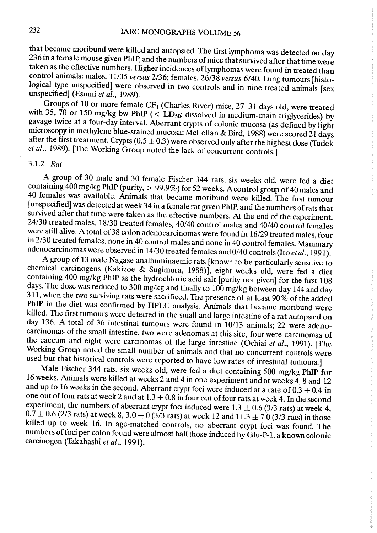that became moribund were kiled and autopsied. The first lymphoma was detected on day 236 in a female mouse given PhIP, and the numbers of mice that survived after that time were taken as the effective numbers. Higher incidences of lymphomas were found in treated than control animals: males, 11/35 versus 2/36; females, 26/38 versus 6/40. Lung tumours [histological type unspecified] were observed in two controls and in nine treated animals [sex unspecified] (Esumi et al., 1989).

Groups of 10 or more female  $CF_1$  (Charles River) mice, 27-31 days old, were treated with 35, 70 or 150 mg/kg bw PhIP (< LD<sub>50</sub>; dissolved in medium-chain triglycerides) by gavage twice at a four-day interval. Aberrant crypts of colonic mucosa (as defined by light microscopy in methylene blue-stained mucosa; McLellan & Bird, 1988) were scored 21 days after the first treatment. Crypts  $(0.5 \pm 0.3)$  were observed only after the highest dose (Tudek et al., 1989). [The Working Group noted the lack of concurrent controls.]

# 3.1.2 Rat

A group of 30 male and 30 female Fischer 344 rats, six weeks old, were fed a diet containing  $400$  mg/kg PhIP (purity,  $> 99.9\%$ ) for 52 weeks. A control group of 40 males and 40 females was available. Animais that became moribund were kiled. The first tumour (unspecified) was detected at week 34 in a female rat given PhlP, and the numbers of rats that survived after that time were taken as the effective numbers. At the end of the experiment, 24/30 treated males, 18/30 treated females, 40/40 control males and 40/40 control females were still alive. A total of 38 colon adenocarcinomas were found in 16/29 treated males, four in 2/30 treated females, none in 40 control males and none in 40 control females. Mammary adenocarcinomas were observed in 14/30 treated females and 0/40 controls (Ito et al., 1991).

A group of 13 male Nagase analbuminaemic rats (known to be particularly sensitive to chemical carcinogens (Kakizoe & Sugimura, 1988)), eight weeks old, were fed a diet containing 400 mg/kg PhlP as the hydrochloric acid salt (purity not given) for the first 108 days. The dose was reduced to 300 mg/kg and finally to 100 mg/kg between day 144 and day  $311$ , when the two surviving rats were sacrificed. The presence of at least 90% of the added PhIP in the diet was confirmed by HPLC analysis. Animals that became moribund were kiled. The first tumours were detected in the small and large intestine of a rat autopsied on day 136. A total of 36 intestinal tumours were found in 10/13 animais; 22 were adenocarcinomas of the small intestine, two were adenomas at this site, four were carcinomas of the caecum and eight were carcinomas of the large intestine (Ochiai et al., 1991). [The Working Group noted the small number of animals and that no concurrent controls were used but that historical controls were reported to have low rates of intestinal tumours.]

Male Fischer 344 rats, six weeks old, were fed a diet containing 500 mg/kg PhIP for 16 weeks. Animals were killed at weeks 2 and 4 in one experiment and at weeks  $\tilde{4}$ , 8 and 12 and up to 16 weeks in the second. Aberrant crypt foci were induced at a rate of  $0.3 \pm 0.4$  in one out of four rats at week 2 and at  $1.3 \pm 0.8$  in four out of four rats at week 4. In the second experiment, the numbers of aberrant crypt foci induced were  $1.3 \pm 0.6$  (3/3 rats) at week 4,  $0.\overline{7} \pm 0.6$  (2/3 rats) at week 8, 3.0  $\pm$  0 (3/3 rats) at week 12 and 11.3  $\pm$  7.0 (3/3 rats) in those killed up to week 16. In age-matched controls, no aberrant crypt foci was found. The numbers of foci per colon found were almost half those induced by Glu-P-1, a known colonic carcinogen (Takahashi et al., 1991).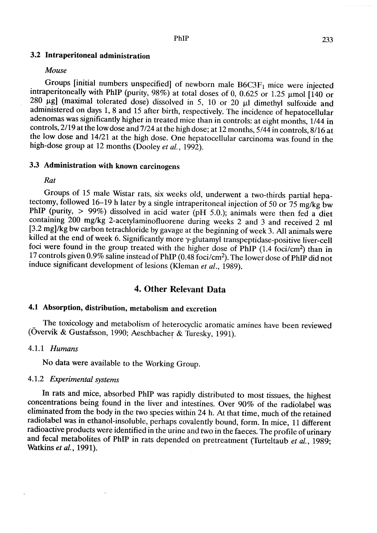# 3.2 Intraperitoneal administration

#### Mouse

Groups [initial numbers unspecified] of newborn male  $B6C3F<sub>1</sub>$  mice were injected intraperitoneally with PhIP (purity, 98%) at total doses of 0, 0.625 or 1.25  $\mu$ mol [140 or  $280$   $\mu$ g] (maximal tolerated dose) dissolved in 5, 10 or 20  $\mu$ l dimethyl sulfoxide and administered on days 1, 8 and 15 after birth, respectively. The incidence of hepatocellular adenomas was significantly higher in treated mice than in controls: at eight months, 1/44 in controls, 2/19 at the low dose and 7/24 at the high dose; at 12 months, 5/44 in controls, 8/16 at the low dose and 14/21 at the high dose. One hepatocellular carcinoma was found in the high-dose group at 12 months (Dooley et al., 1992).

# 3.3 Administration with known carcinogens

Rat

Groups of 15 male Wistar rats, six weeks old, underwent a two-thirds partial hepatectomy, followed 16-19 h later by a single intraperitoneal injection of 50 or 75 mg/kg bw PhIP (purity,  $> 99\%$ ) dissolved in acid water (pH 5.0.); animals were then fed a diet containing 200 mg/kg 2-acetylaminofluorene during weeks 2 and 3 and received 2 ml (3.2 mg)/kg bw carbon tetrachloride by gavage at the beginning of week 3. Ali animais were killed at the end of week 6. Significantly more y-glutamyl transpeptidase-positive liver-cell foci were found in the group treated with the higher dose of PhIP (1.4 foci/cm<sup>2</sup>) than in 17 controls given 0.9% saline instead of PhIP (0.48 foci/cm<sup>2</sup>). The lower dose of PhIP did not induce significant development of lesions (Kleman et al., 1989).

# 4. Other Relevant Data

# 4.1 Absorption, distribution, metabolism and excretion

The toxicology and metabolism of heterocyclic aromatic amines have been reviewed (Övervk & Gustafsson, 1990; Aeschbacher & Turesky, 1991).

#### 4.1.1 Humans

No data were available to the Working Group.

# 4.1.2 Experimental systems

ln rats and mice, absorbed PhlP was rapidly distributed to most tissues, the highest concentrations being found in the liver and intestines. Over 90% of the radiolabel was eliminated from the body in the two species within 24 h. At that time, much of the retained radiolabel was in ethanol-insoluble, perhaps covalently bound, form. ln mice, Il different radioactive products were identified in the urine and two in the faeces. The profile of urinary and fecal metabolites of PhIP in rats depended on pretreatment (Turteltaub et al., 1989; Watkins et al., 1991).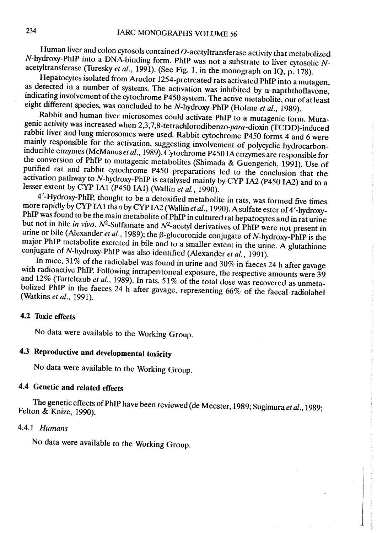Human liver and colon cytosols contained  $O$ -acetyltransferase activity that metabolized N-hydroxy-PhIP into a DNA-binding form. PhIP was not a substrate to liver cyosolic Nacetyltransferase (Turesky et al., 1991). (See Fig. 1, in the monograph on IQ, p. 178).

Hepatocytes isolated from Aroclor 1254-pretreated rats activated PhIP into a mutagen, as detected in a number of systems. The activation was inhibited by  $\alpha$ -napththoflavone, indicating involvement of the cyochrome P450 system. The active metabolite, out of at least eight different species, was concluded to be N-hydroxy-PhIP (Holme et al., 1989).

Rabbit and human liver microsomes could activate PhIP to a mutagenic form. Mutagenic activity was increased when 2,3,7,8-tetrachlorodibenzo-para-dioxin (TCDD)-induced rabbit liver and lung microsomes were used. Rabbit cytochrome P450 forms 4 and 6 were mainly responsible for the activation, suggesting involvement of polycyclic hydrocarboninducible enzymes (McManus et al., 1989). Cytochrome P450 IA enzymes are responsible for the conversion of PhIP to mutagenic metabolites (Shimada & Guengerich, 1991). Use of purified rat and rabbit cytochrome P450 preparations led to the conclusion that the activation pathway to N-hydroxy-PhIP is catalysed mainly by CYP IA2 (P450 IA2) and to a lesser extent by CYP IA1 (P450 IA1) (Wallin et al., 1990).

4'-Hydroxy-Phlp, thought to be a detoxified metabolite in rats, was formed five times more rapidly by CYP IA1 than by CYP IA2 (Wallin et al., 1990). A sulfate ester of 4'-hydroxy-PhIP was found to be the main metabolite of PhIP in cultured rat hepatocytes and in rat urine but not in bile in vivo.  $N^2$ -Sulfamate and  $N^2$ -acetyl derivatives of PhIP were not present in urine or bile (Alexander et al., 1989); the  $\beta$ -glucuronide conjugate of N-hydroxy-PhIP is the major PhlP metabolite excreted in bile and to a smaller extent in the urine. A glutathione conjugate of N-hydroxy-PhIP was also identified (Alexander et al., 1991).

In mice, 31% of the radiolabel was found in urine and 30% in faeces 24 h after gavage with radioactive PhIP. Following intraperitoneal exposure, the respective amounts were 39 and 12% (Turteltaub et al., 1989). In rats, 51% of the total dose was recovered as unmetabolized PhIP in the faeces 24 h after gavage, representing 66% of the faecal radiolabel (Watkins et al., 1991).

### 4.2 Toxic effects

No data were available to the Working Group.

# 4.3 Reproductive and developmental toxicity

No data were available to the Working Group.

# 4.4 Genetic and related effects

The genetic effects of PhIP have been reviewed (de Meester, 1989; Sugimura et al., 1989; Felton & Knize, 1990).

1

j

### 4.4.1 Humans

No data were available to the Working Group.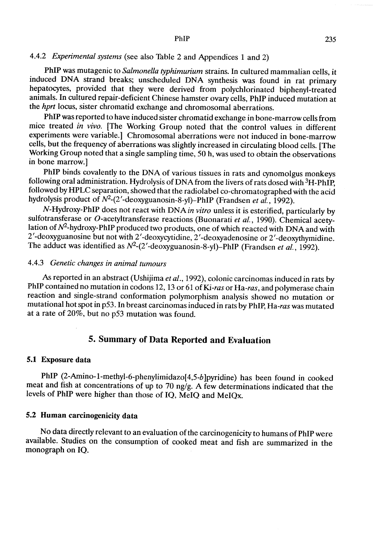# 4.4.2 *Experimental systems* (see also Table 2 and Appendices 1 and 2)

PhIP was mutagenic to Salmonella typhimurium strains. ln cultured mammalian cells, it induced DNA strand breaks; unscheduled DNA synthesis was found in rat primary hepatocytes, provided that they were derived from polychlorinated biphenyl-treated animals. In cultured repair-deficient Chinese hamster ovary cells, PhIP induced mutation at the *hprt* locus, sister chromatid exchange and chromosomal aberrations.

PhIP was reported to have induced sister chromatid exchange in bone-marrow cells from mice treated in vivo. [The Working Group noted that the control values in different experiments were variable.) Chromosomal aberrations were not induced in bone-marrow cells, but the frequency of aberrations was slightly increased in circulating blood cells. (The Working Group noted that a single sampling time, 50 h, was used to obtain the observations in bone marrow.)

PhIP binds covalently to the DNA of various tissues in rats and cynomolgus monkeys following oral administration. Hydrolysis of DNA from the livers of rats dosed with <sup>3</sup>H-PhIP, followed by HPLC separation, showed that the radiolabel co-chromatographed with the acid hydrolysis product of  $N^2$ -(2'-deoxyguanosin-8-yl)-PhIP (Frandsen et al., 1992).

N-Hydroxy-PhIP does not react with DNA in vitro unless it is esterified, particularly by sulfotransferase or O-acetyltransferase reactions (Buonarati et al., 1990). Chemical acetylation of  $N^2$ -hydroxy-PhIP produced two products, one of which reacted with DNA and with 2'-deoxyguanosine but not with 2'-deoxycyidine, 2' -deoxyadenosine or 2'-deoxyhymidine. The adduct was identified as  $N^2$ -(2'-deoxyguanosin-8-yl)-PhIP (Frandsen et al., 1992).

#### 4.4.3 Genetic changes in animal tumours

As reported in an abstract (Ushijima et al., 1992), colonic carcinomas induced in rats by PhIP contained no mutation in codons 12, 13 or 61 of Ki-ras or Ha-ras, and polymerase chain reaction and single-strand conformation polymorphism analysis showed no mutation or mutational hot spot in p53. ln breast carcinomas induced in rats by PhIp, Ha-ras was mutated at a rate of 20%, but no p53 mutation was found.

# S. Summary of Data Reported and Evaluation

#### 5.1 Exposure data

PhIP (2-Amino-1-methyl-6-phenylimidazo[4,5-b]pyridine) has been found in cooked meat and fish at concentrations of up to 70 ng/g. A few determinations indicated that the levels of PhIP were higher than those of IQ, MeIQ and MeIQx.

# 5.2 Human carcinogenicity data

No data directly relevant to an evaluation of the carcinogenicity to humans of PhlP were available. Studies on the consumption of cooked meat and fish are summarized in the monograph on IQ.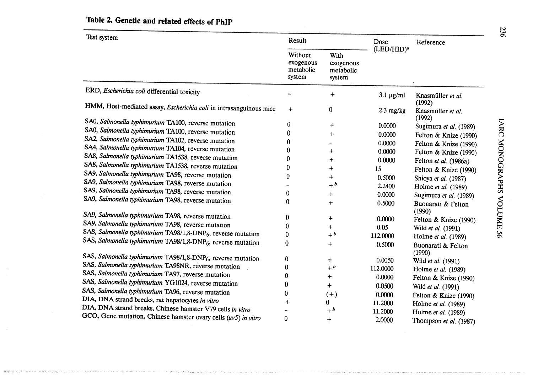| Test system                                                              | Result                                      |                                          | Dose                | Reference                    |
|--------------------------------------------------------------------------|---------------------------------------------|------------------------------------------|---------------------|------------------------------|
|                                                                          | Without<br>exogenous<br>metabolic<br>system | With<br>exogenous<br>metabolic<br>system | $(LED/HID)^a$       |                              |
| ERD, Escherichia coli differential toxicity                              |                                             | $\div$                                   | $3.1 \mu g/ml$      | Knasmüller et al.<br>(1992)  |
| HMM, Host-mediated assay, Escherichia coli in intrasanguinous mice       | $\div$                                      | 0                                        | $2.3 \text{ mg/kg}$ | Knasmüller et al.<br>(1992)  |
| SA0, Salmonella typhimurium TA100, reverse mutation                      | 0                                           | $\ddot{}$                                | 0.0000              | Sugimura et al. (1989)       |
| SA0, Salmonella typhimurium TA100, reverse mutation                      | O                                           | $\div$                                   | 0.0000              | Felton & Knize (1990)        |
| SA2, Salmonella typhimurium TA102, reverse mutation                      |                                             |                                          | 0.0000              | Felton & Knize (1990)        |
| SA4, Salmonella typhimurium TA104, reverse mutation                      |                                             | $^{+}$                                   | 0.0000              | Felton & Knize (1990)        |
| SA8, Salmonella typhimurium TA1538, reverse mutation                     | O                                           | $\div$                                   | 0.0000              | Felton et al. (1986a)        |
| SA8, Salmonella typhimurium TA1538, reverse mutation                     | 0                                           | $\ddot{}$                                | 15                  | Felton & Knize (1990)        |
| SA9, Salmonella typhimurium TA98, reverse mutation                       | 0                                           | $\overline{+}$                           | 0.5000              | Shioya et al. (1987)         |
| SA9, Salmonella typhimurium TA98, reverse mutation                       |                                             | $+^b$                                    | 2.2400              | Holme et al. (1989)          |
| SA9, Salmonella typhimurium TA98, reverse mutation                       | 0                                           | $\div$                                   | 0.0000              | Sugimura et al. (1989)       |
| SA9, Salmonella typhimurium TA98, reverse mutation                       | 0                                           | $\div$                                   | 0.5000              | Buonarati & Felton<br>(1990) |
| SA9, Salmonella typhimurium TA98, reverse mutation                       | 0                                           | $\div$                                   | 0.0000              | Felton & Knize (1990)        |
| SA9, Salmonella typhimurium TA98, reverse mutation                       | 0                                           | $\mathrm{+}$                             | 0.05                | Wild et al. (1991)           |
| SAS, Salmonella typhimurium TA98/1,8-DNP <sub>6</sub> , reverse mutation | 0                                           | $+ b$                                    | 112.0000            | Holme et al. (1989)          |
| SAS, Salmonella typhimurium TA98/1,8-DNP <sub>6</sub> , reverse mutation | $\bf{0}$                                    | $+$                                      | 0.5000              | Buonarati & Felton<br>(1990) |
| SAS, Salmonella typhimurium TA98/1,8-DNP <sub>6</sub> , reverse mutation | 0                                           | $\pm$                                    | 0.0050              | Wild et al. (1991)           |
| SAS, Salmonella typhimurium TA98NR, reverse mutation                     | 0                                           | $+ b$                                    | 112.0000            | Holme et al. (1989)          |
| SAS, Salmonella typhimurium TA97, reverse mutation                       | 0                                           | $\div$                                   | 0.0000              | Felton & Knize (1990)        |
| SAS, Salmonella typhimurium YG1024, reverse mutation                     | 0                                           | $\ddag$                                  | 0.0500              | Wild et al. (1991)           |
| SAS, Salmonella typhimurium TA96, reverse mutation                       | 0                                           | $(+)$                                    | 0.0000              | Felton & Knize (1990)        |
| DIA, DNA strand breaks, rat hepatocytes in vitro                         | $\div$                                      | 0                                        | 11.2000             | Holme et al. (1989)          |
| DIA, DNA strand breaks, Chinese hamster V79 cells in vitro               |                                             | $+$ <sup>b</sup>                         | 11.2000             | Holme et al. (1989)          |
| GCO, Gene mutation, Chinese hamster ovary cells $(uv5)$ in vitro         | 0                                           | $+$                                      | 2.0000              | Thompson et al. (1987)       |

# Table 2. Genetic and related effects of PhIP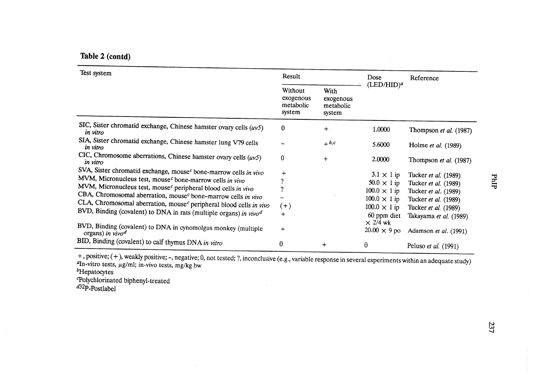Table 2 (contd)

| Test system                                                                                                                                                                                                                                                                                                                                                                                                                                                                                                                                                     | Result                                      |                                          | Dose                                                                                                                                                                  | Reference                                                                                                                                                               |  |
|-----------------------------------------------------------------------------------------------------------------------------------------------------------------------------------------------------------------------------------------------------------------------------------------------------------------------------------------------------------------------------------------------------------------------------------------------------------------------------------------------------------------------------------------------------------------|---------------------------------------------|------------------------------------------|-----------------------------------------------------------------------------------------------------------------------------------------------------------------------|-------------------------------------------------------------------------------------------------------------------------------------------------------------------------|--|
|                                                                                                                                                                                                                                                                                                                                                                                                                                                                                                                                                                 | Without<br>exogenous<br>metabolic<br>system | With<br>exogenous<br>metabolic<br>system | $(LED/HID)^a$                                                                                                                                                         |                                                                                                                                                                         |  |
| SIC, Sister chromatid exchange, Chinese hamster ovary cells $(uv5)$<br>in vitro                                                                                                                                                                                                                                                                                                                                                                                                                                                                                 | $\bf{0}$                                    | $^{+}$                                   | 1.0000                                                                                                                                                                | Thompson et al. (1987)                                                                                                                                                  |  |
| SIA, Sister chromatid exchange, Chinese hamster lung V79 cells<br>in vitro                                                                                                                                                                                                                                                                                                                                                                                                                                                                                      |                                             | $+ b, c$                                 | 5.6000                                                                                                                                                                | Holme et al. (1989)                                                                                                                                                     |  |
| CIC, Chromosome aberrations, Chinese hamster ovary cells $(uv5)$<br>in vitro                                                                                                                                                                                                                                                                                                                                                                                                                                                                                    | $\bf{0}$                                    | $+$                                      | 2.0000                                                                                                                                                                | Thompson et al. (1987)                                                                                                                                                  |  |
| SVA, Sister chromatid exchange, mouse <sup>c</sup> bone-marrow cells in vivo<br>MVM, Micronucleus test, mouse <sup>c</sup> bone-marrow cells in vivo<br>MVM, Micronucleus test, mouse <sup>c</sup> peripheral blood cells in vivo<br>CBA, Chromosomal aberration, mouse <sup>c</sup> bone-marrow cells in vivo<br>CLA, Chromosomal aberration, mouse <sup>c</sup> peripheral blood cells in vivo<br>BVD, Binding (covalent) to DNA in rats (multiple organs) in $vivod$<br>BVD, Binding (covalent) to DNA in cynomolgus monkey (multiple<br>organs) in $vivo^d$ | $\div$<br>7<br>2<br>$(+)$<br>$+$<br>$+$     |                                          | $3.1 \times 1$ ip<br>$50.0 \times 1$ ip<br>$100.0 \times 1$ ip<br>$100.0 \times 1$ ip<br>$100.0 \times 1$ ip<br>60 ppm diet<br>$\times$ 2/4 wk<br>$20.00 \times 9$ po | Tucker et al. (1989)<br>Tucker et al. (1989)<br>Tucker et al. (1989)<br>Tucker et al. (1989)<br>Tucker et al. (1989)<br>Takayama et al. (1989)<br>Adamson et al. (1991) |  |
| BID, Binding (covalent) to calf thymus DNA in vitro                                                                                                                                                                                                                                                                                                                                                                                                                                                                                                             | 0                                           | $\div$                                   | $\bf{0}$                                                                                                                                                              | Peluso et al. (1991)                                                                                                                                                    |  |

 $+$ , positive; (+), weakly positive;  $-$ , negative; 0, not tested; ?, inconclusive (e.g., variable response in several experiments within an adequate study) <sup>α</sup>In-vitro tests, μg/ml; in-vivo tests, mg/kg bw<br><sup>b</sup>Hepatocytes

Polychlorinated biphenyl-treated<br><sup>d32</sup>P-Postlabel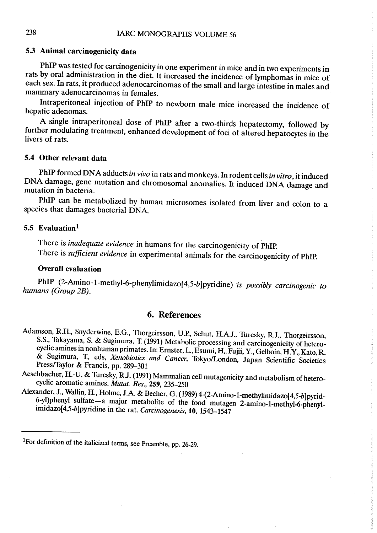# 5.3 Animal carcinogenicity data

PhIP was tested for carcinogenicity in one experiment in mice and in two experiments in rats by oral administration in the diet. It increased the incidence of lymphomas in mice of each sex. In rats, it produced adenocarcinomas of the small and large intestine in males and mammary adenocarcinomas in females.

Intraperitoneal injection of PhIP to newborn male mice increased the incidence of hepatic adenomas.

A single intraperitoneal dose of PhIP after a two-thirds hepatectomy, followed by further modulating treatment, enhanced development of foci of altered hepatocytes in the livers of rats.

# 5.4 Other relevant data

PhIP formed DNA adducts in vivo in rats and monkeys. In rodent cells in vitro, it induced DNA damage, gene mutation and chromosomal anomalies. It induced DNA damage and mutation in bacteria.

PhIP can be metabolized by human microsomes isolated from liver and colon to a species that damages bacterial DNA.

# 5.5 Evaluation<sup>1</sup>

There is inadequate evidence in humans for the carcinogenicity of PhIP. There is sufficient evidence in experimental animals for the carcinogenicity of PhIP.

# Overall evaluation

PhIP (2-Amino-1-methyl-6-phenylimidazo $[4,5-b]$ pyridine) is possibly carcinogenic to humans (Group 2B).

### 6. References

- Adamson, R.H., Snyderwine, E.G., Thorgeirsson, u.P., Schut, H.A.J., Turesky, R.J., Thorgeirsson, S.S., Takayama, S. & Sugimura, T. (1991) Metabolic processing and carcinogenicity of heterocyclic amines in nonhuman primates. ln: Ernster, L., Esumi, H,. Fujii, Y., Gelboin, H.Y., Kato, R. & Sugimura, T., eds, Xenobiotics and Cancer, Tokyo/London, Japan Scientific Societies Press/Taylor & Francis, pp. 289-301
- Aeschbacher, H.-U. & Turesky, R.J. (1991) Mammalian cell mutagenicity and metabolism of heterocyclic aromatic amines. Mutat. Res., 259, 235-250
- Alexander, J., Wallin, H., Holme, J.A. & Becher, G. (1989) 4-(2-Amino-1-methylimidazo[4,5-b]pyrid-6-yl)phenyl sulfate-a major metabolite of the food mutagen 2-amino-1-methyl-6-phenylimidazo(4,5-b)pyridine in the rat. Carcinogenesis, 10, 1543-1547

IFor definition of the italicized terms, see Preamble, pp. 26-29.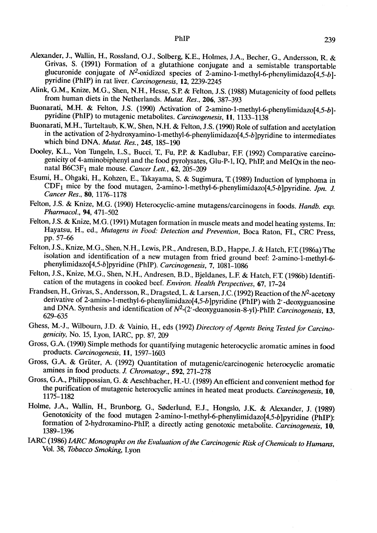- Alexander, J., Wallin, H., Rossland, O.J., Solberg, K.E., Holmes, J.A., Becher, G., Andersson, R. & Grivas, S. (1991) Formation of a glutathione conjugate and a semistable transportable glucuronide conjugate of  $N^2$ -oxidized species of 2-amino-1-methyl-6-phenylimidazo $[4,5-b]$ pyridine (PhIP) in rat liver. Carcinogenesis, 12, 2239-2245
- Alink, G.M., Knize, M.G., Shen, N.H., Hesse, S.P. & Felton, J.S. (1988) Mutagenicity of food pellets from human diets in the Netherlands. *Mutat. Res.*, 206, 387-393
- Buonarati, M.H. & Felton, J.S. (199) Activation of 2-amino-1-methyl-6-phenylimidazo(4,5-b) pyridine (PhIP) to mutagenic metabolites. Carcinogenesis, 11, 1133-1138
- Buonarati, M.H., Turteltaub, K.W., Shen, N.H. & Felton, J.S. (1990) Role of sulfation and acetylation in the activation of 2-hydroxyamino-1-methyl-6-phenylimidazo(4,5-b)pyridine to intermediates which bind DNA. Mutat. Res., 245, 185-190
- Dooley, K.L., Von Tungeln, L.S., Bucci, T., Fu, P.P. & Kadlubar, F.F. (1992) Comparative carcinogenicity of 4-aminobiphenyl and the food pyrolysates, Glu-P-1, IQ, PhIP, and MeIQx in the neonatal  $B6C3F<sub>1</sub>$  male mouse. Cancer Lett.,  $62$ , 205-209
- Esumi, H., Ohgaki, H., Kohzen, E., Takayama, S. & Sugimura, T (1989) lnduction of Iymphoma in  $CDF<sub>1</sub>$  mice by the food mutagen, 2-amino-1-methyl-6-phenylimidazo[4,5-b]pyridine. Jpn. J. Cancer Res., 80, 1176-1178
- Felton, J.S. & Knize, M.G. (1990) Heterocyclic-amine mutagens/carcinogens in foods. Handb. exp. Pharmacol., 94, 471-502
- Felton, J.S. & Knize, M.G. (1991) Mutagen formation in muscle meats and model heating systems. ln: Hayatsu, H., ed., Mutagens in Food: Detection and Prevention, Boca Raton, FL, CRC Press, pp. 57-6
- Felton, J.S., Knize, M.G., Shen, N.H., Lewis, P.R., Andresen, B.D., Happe, J. & Hatch, F.T (1986a) The isolation and identification of a new mutagen from fried ground beef: 2-amino-1-methyl-6 phenylimidazo(4,5-b)pyridine (PhlP). Carcinogenesis, 7, 1081-1086
- Felton, J.S., Knize, M.G., Shen, N.H., Andresen, B.D., Bjeldanes, L.E & Hatch, ET (1986b) Identification of the mutagens in cooked beef. Environ. Health Perspectives, 67, 17-24
- Frandsen, H., Grivas, S., Andersson, R., Dragsted, L. & Larsen, J.C. (1992) Reaction of the N<sup>2</sup>-acetoxy derivative of 2-amino-1-methyl-6-phenylimidazo[4,5-b]pyridine (PhIP) with 2'-deoxyguanosine and DNA. Synthesis and identification of  $N^2$ -(2'-deoxyguanosin-8-yl)-PhIP. Carcinogenesis, 13, 629-635
- Ghess, M.-J., Wilbourn, J.D. & Vainio, H., eds (1992) Directory of Agents Being Tested for Carcinogenicity, No. 15, Lyon, lARC, pp. 87, 209
- Gross, G.A. (199) Simple methods for quantifying mutagenic heterocyclic aromatic amines in food products. Carcinogenesis, ll, 1597-1603
- Gross, G.A. & Grüter, A. (1992) Quantitation of mutagenic/carcinogenic heterocyclic aromatic amines in food products. J. Chromatogr., 592, 271-278
- Gross, G.A., Philippossian, G. & Aeschbacher, H.-U. (1989) An efficient and convenient method for the purification of mutagenic heterocyclic amines in heated meat products. Carcinogenesis, 10, 1175-1182
- Holme, J.A., Wallin, H., Brunborg, G., Søderlund, E.J., Hongslo, J.K. & Alexander, J. (1989) Genotoxicity of the food mutagen 2-amino-1-methyl-6-phenylimidazo(4,5-b)pyridine (PhIP): formation of 2-hydroxamino-PhIP, a directly acting genotoxic metabolite. Carcinogenesis, 10, 1389-1396
- IARC (1986) IARC Monographs on the Evaluation of the Carcinogenic Risk of Chemicals to Humans, Vol. 38, Tobacco Smoking, Lyon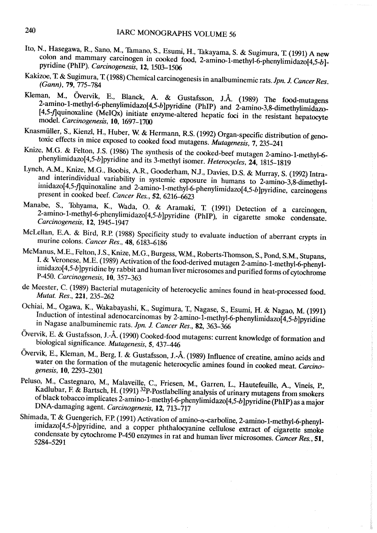- Ho, N., Hasegawa, R, Sano, M., Tamano, S., Esumi, H., Takayama, S. & Sugimura, 'I (1991) A new colon and mammary carcinogen in cooked food, 2-amino-1-methyl-6-phenylimidazo $[4,5-b]$ pyridine (PhlP). Carcinogenesis, 12, 1503-1506
- Kakizoe, T. & Sugimura, T. (1988) Chemical carcinogenesis in analbuminemic rats. Jpn. J. Cancer Res. (Gann), 79, 775-784
- Kleman, M., Övervik, E., Blanck, A. & Gustafsson, J.Å. (1989) The food-mutagens  $2$ -amino-1-methyl-6-phenylimidazo $[4,5-b]$ pyridine (PhIP) and  $2$ -amino-3,8-dimethylimidazo-(4,5-fquinoxaline (MelQx) initiate enzyme-altered hepatic foci in the resistant hepatocyte modeI. Carcinogenesis, 10, 1697-1700
- Knasmüller, S., Kienzl, H., Huber, W, & Hermann, RS. (1992) Organ-specific distribution of genotoxic effects in mice exposed to cooked food mutagens. Mutagenesis, 7, 235-241
- Knize, M.G. & Felton, J.S. (1986) The synthesis of the cooked-beef mutagen 2-amino-1-methyl-6 phenylimidazo[4,5-b]pyridine and its 3-methyl isomer. Heterocycles, 24, 1815-1819
- Lynch, A.M., Knize, M.G., Boobis, A.R, Gooderham, NJ., Davies, D.S. & Murray, S. (1992) Intraand interindividual variability in systemic exposure in humans to 2-amino-3,8-dimethylimidazo[4,5-f]quinoxaline and 2-amino-1-methyl-6-phenylimidazo[4,5-b]pyridine, carcinogens present in cooked beef. Cancer Res., 52, 6216-623
- Manabe, S., Tohyama, K., Wada, O. & Aramaki, T. (1991) Detection of a carcinogen, 2-amino-1-methyl-6-phenylimidazo(4,5-b)pyridine (PhIP), in cigarette smoke condensate. Carcinogenesis, 12, 1945-1947
- McLellan, E.A. & Bird, R.P. (1988) Specificity study to evaluate induction of aberrant crypts in murine colons. Cancer Res., 48, 6183-6186
- McManus, M.E., Felton, J.S., Knize, M.G., Burgess, W.M., Roberts-Thomson, S., Pond, S.M., Stupans, I. & Veronese, M.E. (1989) Activation of the food-derived mutagen 2-amino-1-methyl-6-phenylimidazo[4,5-b] pyridine by rabbit and human liver microsomes and purified forms of cytochrome P-450. Carcinogenesis, 10, 357-363
- de Meester, C. (1989) Bacterial mutagenicity of heterocyclic amines found in heat-processed food. Mutat. Res., 221, 235-262
- Ochiai, M., Ogawa, K, Wakabayashi, K, Sugimura, T., Nagase, S., Esumi, H. & Nagao, M. (1991) Induction of intestinal adenocarcinomas by 2-amino-1-methyl-6-phenylimidazo[4,5-b]pyridine in Nagase analbuminemic rats. Jpn. 1. Cancer Res., 82, 363-366
- Övervik, E. & Gustafsson, J.-Å. (1990) Cooked-food mutagens: current knowledge of formation and biological significance. Mutagenesis, 5, 437-46
- DVervik, E., K1eman, M., Berg, l. & Gustafsson, J.-Å. (1989) Influence of creatine, amino acids and water on the formation of the mutagenic heterocyclic amines found in cooked meat. Carcinogenesis, 10, 2293-2301
- Peluso, M., Castegnaro, M., Malaveile, c., Friesen, M., Garren, L., Hautefeuile, A., Vineis, P., Kadlubar, F. & Bartsch, H. (1991) <sup>32</sup>P-Postlabelling analysis of urinary mutagens from smokers of black tobacco implicates 2-amino-1-methyl-6-phenylimidazo[4,5-b] pyridine (PhIP) as a major DNA-damaging agent. Carcinogenesis, 12, 713-717
- Shimada, T. & Guengerich, F.P. (1991) Activation of amino- $\alpha$ -carboline, 2-amino-1-methyl-6-phenylimidazo(4,5-b)pyridine, and a copper phthalocyanine cellulose extract of cigarette smoke condensate by cytochrome P-450 enzymes in rat and human liver microsomes. Cancer Res., 51, 5284-5291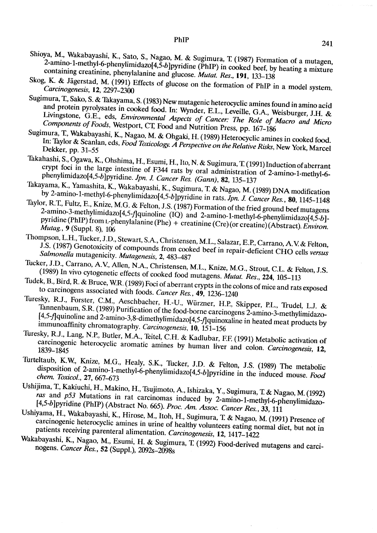- Shioya, M., Wakabayashi, K., Sato, S., Nagao, M. & Sugimura, T. (1987) Formation of a mutagen, 2-amino-1-methyl-6-phenylimidazo $[4,5-b]$ pyridine (PhIP) in cooked beef, by heating a mixture containing creatinine, phenylalanine and glucose. Mutat. Res., 191, 133-138
- Skog, K. & Jägerstad, M. (1991) Effects of glucose on the formation of PhIP in a model system. Carcinogenesis, 12, 2297-2300
- Sugimura, T., Sako, S. & Takayama, S. (1983) New mutagenic heterocyclic amines found in amino acid and protein pyrolysates in cooked food. In: Wynder, E.L., Leveille, G.A., Weisburger, J.H. & Livingstone, G.E., eds, Environmental Aspects of Cancer: The Role of Macro and Micro Components of Foods, Westport, CT, Food and Nutrition Press, pp. 167-186
- $S$ ugimura, T., Wakabayashi, K., Nagao, M. & Ohgaki, H. (1999) Heterocyclic amines in cooked for contract food. In: Taylor & Scanlan, eds. Food Toxicology A Perspective on the Risks,  $R_{\text{S}}$  and  $R_{\text{S}}$  and  $R_{\text{S}}$  and  $R_{\text{S}}$  and  $R_{\text{S}}$  and  $R_{\text{S}}$  and  $R_{\text{S}}$  and  $R_{\text{S}}$  and  $R_{\text{S}}$  and  $R_{\text{S}}$  and  $R_{\text{S}}$  In: Taylor & Scanlan, eds, Food Toxicology. A Perspective on the Relative Risks, New York, Marcel Dekker, pp. 31-55
- Takahashi, S., Ogawa, K, Ohshima, H., Esumi, H., lto, N. & Sugimura, T (1991) Induction of aberrant crypt foci in the large intestine of F344 rats by oral administration of 2-amino-1-methyl-6 phenylimidazo[4,5-b]pyridine. Jpn. J. Cancer Res. (Gann), 82, 135-137
- Takayama, K., Yamashita, K., Wakabayashi, K., Sugimura, T. & Nagao, M. (1989) DNA modification by 2-amino-1-methyl-6-phenylimidazo[4,5-b]pyridine in rats. Jpn. J. Cancer Res., 80, 1145-1148
- rayior, R. I., Fultz, E., Knize, M.G. & Felton, J.S. (1987) Formation of the fried ground beef mutagens 2-amino-3-methylimidazo(4,5-*flquinoline* (IQ) and 2-amino-1-methylimidazo( 4,5-*flquinoline* (IQ) and 2-amino-1-meth 2-amino-3-methylimidazo[4,5-f]quinoline (IQ) and 2-amino-1-methyl-6-phenylimidazo[4,5-b]-<br>pyridine (PhIP) from L-phenylalanine (Phe) + creatinine (Cre) (or creatine) (Abstract). Environ. Mutag., 9 (SuppI. 8), 106
- Thompson, L.H., Tucker, J.I)., Stewart, S.A, Christensen, M.L., Salazar, E.P., Carrano, A.V & Felton, J.S. (1987) Genotoxicity of compounds from cooked beef in repair-deficient CHO cells versus Salmonella mutagenicity. Mutagenesis, 2, 483-487
- Tucker, J.D., Carrano, A.V., Allen, N.A., Christensen, M.L., Knize, M.G., Strout, C.L. & Felton, J.S. (1989) In vivo cytogenetic effects of cooked food mutagens. *Mutat. Res.*, 224, 105-113
- Tudek, B., Bird, R. & Bruce, W.R. (1989) Foci of aberrant crypts in the colons of mice and rats exposed to carcinogens associated with foods. Cancer Res., 49, 1236-1240
- Turesky, RJ., Forster, C.M., Aeschbacher, H.-U., Würzner, H.P., Skipper, P.L., Trudel, L.J. & Tannenbaum, S.R (1989) Purification of the food-borne carcinogens 2-amino-3-methylimidazo- (4,5-flquinoline and 2-amino-3,8-dimethylimidazo(4,5-flquinoxaline in heated meat products by immunoaffinity chromatography. Carcinogenesis, 10, 151-156
- Turesky, RJ., Lang, N.P., Butler, M.A., Teitel, C.H. & Kadlubar, EE (1991) Metabolic activation of carcinogenic heterocyclic aromatic amines by human liver and colon. Carcinogenes~, 12, 1839-1845
- Turteltaub, K.W, Knize, M.G., Healy, S.K, Tucker, J.I). & Felton, J.S. (1989) The metabolic disposition of 2-amino-1-methyl-6-phenylimidazo(4,5-bJpyridine in the induced mouse. Food chem. Toxicol., 27, 667-673
- Ushijima, T, Kakiuchi, H., Makino, H., Tsujimoto, A., lshizaka, Y., Sugimura, 1: & Nagao, M. (1992) ras and p53 Mutations in rat carcinomas induced by 2-amino-1-methyl-6-phenylimidazo-[4,5-b]pyridine (PhIP) (Abstract No. 665). Proc. Am. Assoc. Cancer Res., 33, 111
- Ushiyama, H., Wakabayashi, K, Hirose, M., ltoh, H., Sugimura, 1: & Nagao, M. (1991) Presence of carcinogenic heterocyclic amines in urine of healthy volunteers eating normal diet, but not in patients receiving parenteral alimentation. Carcinogenesis, 12, 1417-1422
- Wakabayashi, K., Nagao, M., Esumi, H. & Sugimura, T. (1992) Food-derived mutagens and carcinogens. Cancer Res., 52 (Suppl.), 2092s-2098s